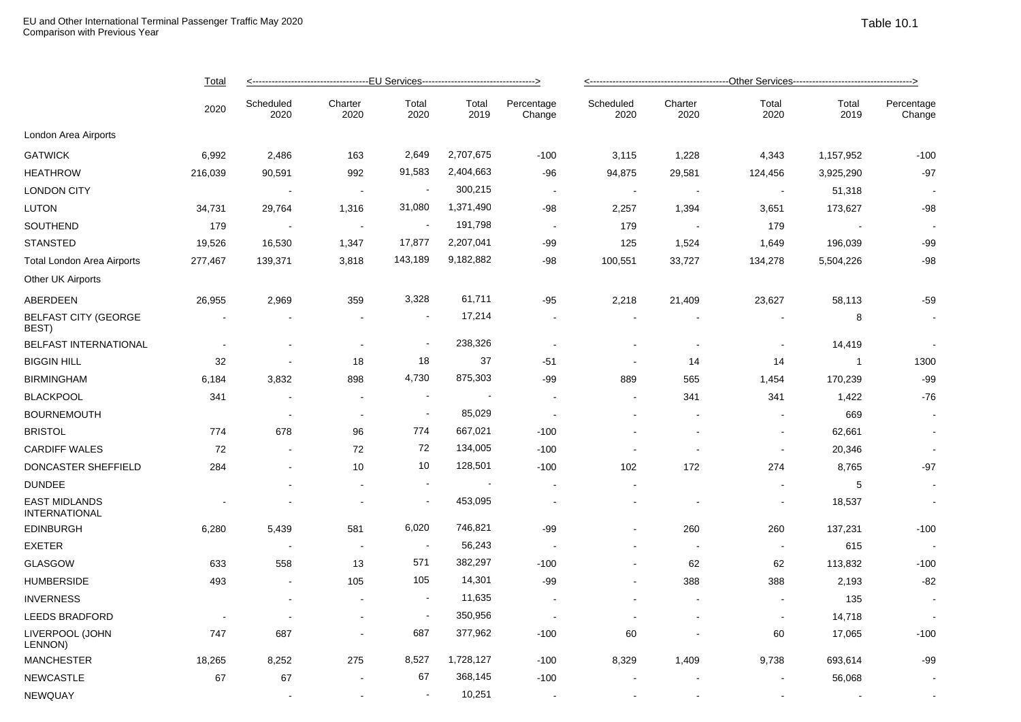|                                              | <b>Total</b><br>2020     | --------------------------------EU Services-----------------------------------> |                 |                          |                          |                          | -----------------------------------Other Services----------------------------------> |                          |                |                |                      |  |
|----------------------------------------------|--------------------------|---------------------------------------------------------------------------------|-----------------|--------------------------|--------------------------|--------------------------|--------------------------------------------------------------------------------------|--------------------------|----------------|----------------|----------------------|--|
|                                              |                          | Scheduled<br>2020                                                               | Charter<br>2020 | Total<br>2020            | Total<br>2019            | Percentage<br>Change     | Scheduled<br>2020                                                                    | Charter<br>2020          | Total<br>2020  | Total<br>2019  | Percentage<br>Change |  |
| London Area Airports                         |                          |                                                                                 |                 |                          |                          |                          |                                                                                      |                          |                |                |                      |  |
| <b>GATWICK</b>                               | 6,992                    | 2,486                                                                           | 163             | 2,649                    | 2,707,675                | $-100$                   | 3,115                                                                                | 1,228                    | 4,343          | 1,157,952      | $-100$               |  |
| <b>HEATHROW</b>                              | 216,039                  | 90,591                                                                          | 992             | 91,583                   | 2,404,663                | -96                      | 94,875                                                                               | 29,581                   | 124,456        | 3,925,290      | $-97$                |  |
| <b>LONDON CITY</b>                           |                          | $\overline{\phantom{a}}$                                                        | $\sim$          | $\blacksquare$           | 300,215                  | $\sim$                   | $\overline{\phantom{a}}$                                                             | $\blacksquare$           | $\blacksquare$ | 51,318         |                      |  |
| LUTON                                        | 34,731                   | 29,764                                                                          | 1,316           | 31,080                   | 1,371,490                | -98                      | 2,257                                                                                | 1,394                    | 3,651          | 173,627        | $-98$                |  |
| SOUTHEND                                     | 179                      | $\sim$                                                                          | $\sim$          | $\overline{\phantom{a}}$ | 191,798                  | $\sim$                   | 179                                                                                  | $\sim$                   | 179            | $\sim$         |                      |  |
| <b>STANSTED</b>                              | 19,526                   | 16,530                                                                          | 1,347           | 17,877                   | 2,207,041                | -99                      | 125                                                                                  | 1,524                    | 1,649          | 196,039        | $-99$                |  |
| Total London Area Airports                   | 277,467                  | 139,371                                                                         | 3,818           | 143,189                  | 9,182,882                | $-98$                    | 100,551                                                                              | 33,727                   | 134,278        | 5,504,226      | $-98$                |  |
| Other UK Airports                            |                          |                                                                                 |                 |                          |                          |                          |                                                                                      |                          |                |                |                      |  |
| ABERDEEN                                     | 26,955                   | 2,969                                                                           | 359             | 3,328                    | 61,711                   | $-95$                    | 2,218                                                                                | 21,409                   | 23,627         | 58,113         | $-59$                |  |
| <b>BELFAST CITY (GEORGE</b><br>BEST)         | $\overline{\phantom{a}}$ | $\sim$                                                                          | $\sim$          | $\blacksquare$           | 17,214                   | $\sim$                   | $\sim$                                                                               |                          |                | 8              | $\sim$               |  |
| BELFAST INTERNATIONAL                        |                          |                                                                                 | $\sim$          | $\blacksquare$           | 238,326                  |                          |                                                                                      | $\overline{\phantom{a}}$ |                | 14,419         |                      |  |
| <b>BIGGIN HILL</b>                           | 32                       | $\overline{\phantom{a}}$                                                        | 18              | 18                       | 37                       | $-51$                    | $\blacksquare$                                                                       | 14                       | 14             | $\overline{1}$ | 1300                 |  |
| <b>BIRMINGHAM</b>                            | 6,184                    | 3,832                                                                           | 898             | 4,730                    | 875,303                  | $-99$                    | 889                                                                                  | 565                      | 1,454          | 170,239        | $-99$                |  |
| <b>BLACKPOOL</b>                             | 341                      | $\overline{\phantom{a}}$                                                        | $\sim$          | $\overline{\phantom{a}}$ | $\overline{\phantom{a}}$ | $\sim$                   | $\blacksquare$                                                                       | 341                      | 341            | 1,422          | $-76$                |  |
| <b>BOURNEMOUTH</b>                           |                          | <b>.</b>                                                                        | $\sim$          | $\blacksquare$           | 85,029                   | $\overline{\phantom{a}}$ |                                                                                      | $\sim$                   |                | 669            | $\sim$               |  |
| <b>BRISTOL</b>                               | 774                      | 678                                                                             | 96              | 774                      | 667,021                  | $-100$                   |                                                                                      |                          | $\blacksquare$ | 62,661         | $\sim$               |  |
| <b>CARDIFF WALES</b>                         | 72                       | $\sim$                                                                          | 72              | 72                       | 134,005                  | $-100$                   | $\sim$                                                                               | $\overline{\phantom{a}}$ | $\sim$         | 20,346         |                      |  |
| DONCASTER SHEFFIELD                          | 284                      | ÷                                                                               | 10              | 10                       | 128,501                  | $-100$                   | 102                                                                                  | 172                      | 274            | 8,765          | $-97$                |  |
| <b>DUNDEE</b>                                |                          |                                                                                 | $\sim$          | $\sim$                   |                          |                          | $\sim$                                                                               |                          |                | 5              | $\blacksquare$       |  |
| <b>EAST MIDLANDS</b><br><b>INTERNATIONAL</b> |                          | ÷                                                                               | $\sim$          | $\blacksquare$           | 453,095                  |                          | $\sim$                                                                               | $\overline{\phantom{a}}$ | $\sim$         | 18,537         | $\sim$               |  |
| <b>EDINBURGH</b>                             | 6,280                    | 5,439                                                                           | 581             | 6,020                    | 746,821                  | $-99$                    | $\blacksquare$                                                                       | 260                      | 260            | 137,231        | $-100$               |  |
| <b>EXETER</b>                                |                          | $\overline{a}$                                                                  | $\sim$          | $\sim$                   | 56,243                   |                          | $\overline{a}$                                                                       | $\sim$                   | $\sim$         | 615            |                      |  |
| <b>GLASGOW</b>                               | 633                      | 558                                                                             | 13              | 571                      | 382,297                  | $-100$                   |                                                                                      | 62                       | 62             | 113,832        | $-100$               |  |
| <b>HUMBERSIDE</b>                            | 493                      | $\sim$                                                                          | 105             | 105                      | 14,301                   | $-99$                    | $\blacksquare$                                                                       | 388                      | 388            | 2,193          | $-82$                |  |
| <b>INVERNESS</b>                             |                          | $\sim$                                                                          | $\sim$          | $\sim$                   | 11,635                   |                          |                                                                                      | $\overline{\phantom{a}}$ | $\blacksquare$ | 135            | $\sim$               |  |
| <b>LEEDS BRADFORD</b>                        |                          | $\overline{\phantom{a}}$                                                        |                 | $\blacksquare$           | 350,956                  | $\overline{\phantom{a}}$ |                                                                                      | $\overline{\phantom{a}}$ | $\blacksquare$ | 14,718         |                      |  |
| LIVERPOOL (JOHN<br>LENNON)                   | 747                      | 687                                                                             | $\sim$          | 687                      | 377,962                  | $-100$                   | 60                                                                                   | $\blacksquare$           | 60             | 17,065         | $-100$               |  |
| <b>MANCHESTER</b>                            | 18,265                   | 8,252                                                                           | 275             | 8,527                    | 1,728,127                | $-100$                   | 8,329                                                                                | 1,409                    | 9,738          | 693,614        | $-99$                |  |
| <b>NEWCASTLE</b>                             | 67                       | 67                                                                              | $\sim$          | 67                       | 368,145                  | $-100$                   |                                                                                      |                          |                | 56,068         |                      |  |
| NEWQUAY                                      |                          | $\overline{a}$                                                                  | $\sim$          | $\sim$                   | 10,251                   | $\sim$                   |                                                                                      | $\sim$                   |                |                |                      |  |